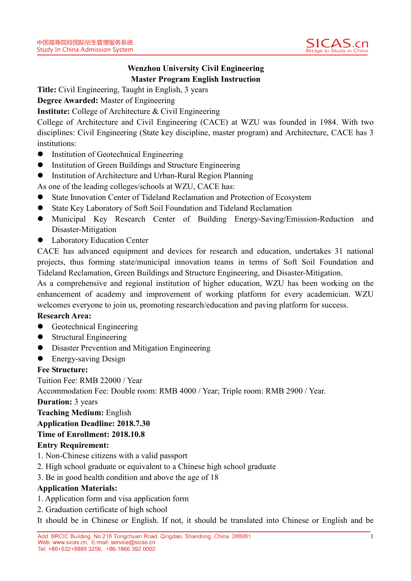

# **Wenzhou University Civil Engineering Master Program English Instruction**

**Title:** Civil Engineering, Taught in English, 3 years

**Degree Awarded:** Master of Engineering

**Institute:** College of Architecture & Civil Engineering

College of Architecture and Civil Engineering (CACE) at WZU was founded in 1984. With two disciplines: Civil Engineering (State key discipline, master program) and Architecture, CACE has 3 institutions:

- Institution of Geotechnical Engineering
- Institution of Green Buildings and Structure Engineering
- Institution of Architecture and Urban-Rural Region Planning

As one of the leading colleges/schools at WZU, CACE has:

- State Innovation Center of Tideland Reclamation and Protection of Ecosystem
- State Key Laboratory of Soft Soil Foundation and Tideland Reclamation
- Municipal Key Research Center of Building Energy-Saving/Emission-Reduction and Disaster-Mitigation
- Laboratory Education Center

CACE has advanced equipment and devices for research and education, undertakes 31 national projects, thus forming state/municipal innovation teams in terms of Soft Soil Foundation and Tideland Reclamation, Green Buildings and Structure Engineering, and Disaster-Mitigation.

As a comprehensive and regional institution of higher education, WZU has been working on the enhancement of academy and improvement of working platform for every academician. WZU welcomes everyone to join us, promoting research/education and paving platform for success.

### **Research Area:**

- **•** Geotechnical Engineering
- Structural Engineering
- Disaster Prevention and Mitigation Engineering
- **•** Energy-saving Design

### **Fee Structure:**

Tuition Fee: RMB 22000 / Year

Accommodation Fee: Double room: RMB 4000 / Year; Triple room: RMB 2900 / Year.

### **Duration:** 3 years

**Teaching Medium:** English

### **Application Deadline: 2018.7.30**

## **Time of Enrollment: 2018.10.8**

### **Entry Requirement:**

- 1. Non-Chinese citizens with a valid passport
- 2. High school graduate or equivalent to a Chinese high school graduate
- 3. Be in good health condition and above the age of 18

## **Application Materials:**

- 1. Application form and visa application form
- 2. Graduation certificate of high school

It should be in Chinese or English. If not, it should be translated into Chinese or English and be